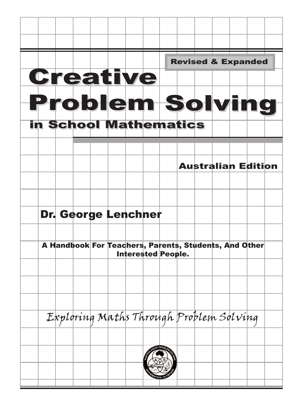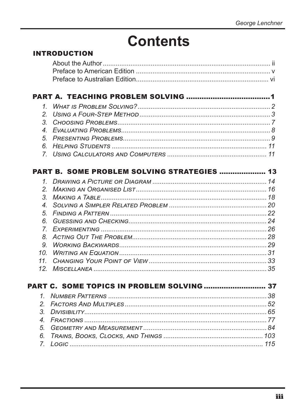# **Contents**

### **INTRODUCTION**

| $\mathcal{I}_{-}$    |                                                    |  |
|----------------------|----------------------------------------------------|--|
| 2.                   |                                                    |  |
| 3 <sub>1</sub>       |                                                    |  |
|                      |                                                    |  |
|                      |                                                    |  |
| 6.                   |                                                    |  |
|                      |                                                    |  |
|                      | <b>PART B. SOME PROBLEM SOLVING STRATEGIES  13</b> |  |
|                      |                                                    |  |
|                      |                                                    |  |
| 2 <sub>1</sub>       |                                                    |  |
| 3.                   |                                                    |  |
| 4                    |                                                    |  |
| 5.                   |                                                    |  |
| 6.                   |                                                    |  |
| 7 <sup>1</sup><br>8. |                                                    |  |
| 9.                   |                                                    |  |
|                      |                                                    |  |
| 10.                  |                                                    |  |
| 11.                  |                                                    |  |
|                      |                                                    |  |
|                      |                                                    |  |
| 1                    |                                                    |  |
| 2.                   |                                                    |  |
| 3.                   |                                                    |  |
| 4                    |                                                    |  |
| 5.                   |                                                    |  |
| 6.                   |                                                    |  |
| 7 <sub>1</sub>       |                                                    |  |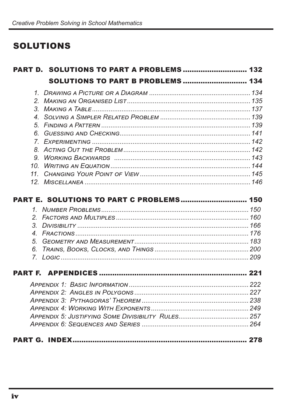### **SOLUTIONS**

|  | <b>PART D. SOLUTIONS TO PART A PROBLEMS  132</b> |  |  |  |
|--|--------------------------------------------------|--|--|--|
|  | <b>SOLUTIONS TO PART B PROBLEMS  134</b>         |  |  |  |
|  |                                                  |  |  |  |
|  |                                                  |  |  |  |
|  |                                                  |  |  |  |
|  |                                                  |  |  |  |
|  |                                                  |  |  |  |
|  |                                                  |  |  |  |
|  |                                                  |  |  |  |
|  |                                                  |  |  |  |
|  |                                                  |  |  |  |
|  |                                                  |  |  |  |
|  |                                                  |  |  |  |
|  |                                                  |  |  |  |
|  |                                                  |  |  |  |
|  | PART E. SOLUTIONS TO PART C PROBLEMS 150         |  |  |  |
|  |                                                  |  |  |  |
|  |                                                  |  |  |  |
|  |                                                  |  |  |  |
|  |                                                  |  |  |  |
|  |                                                  |  |  |  |
|  |                                                  |  |  |  |
|  |                                                  |  |  |  |
|  |                                                  |  |  |  |
|  |                                                  |  |  |  |
|  |                                                  |  |  |  |
|  |                                                  |  |  |  |
|  |                                                  |  |  |  |
|  |                                                  |  |  |  |
|  |                                                  |  |  |  |
|  |                                                  |  |  |  |
|  |                                                  |  |  |  |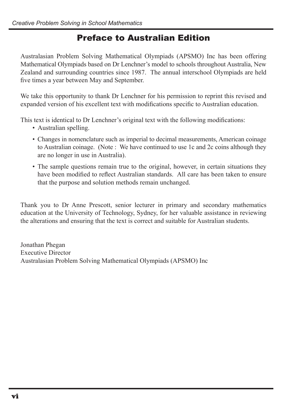### Preface to Australian Edition

Australasian Problem Solving Mathematical Olympiads (APSMO) Inc has been offering Mathematical Olympiads based on Dr Lenchner's model to schools throughout Australia, New Zealand and surrounding countries since 1987. The annual interschool Olympiads are held five times a year between May and September.

We take this opportunity to thank Dr Lenchner for his permission to reprint this revised and expanded version of his excellent text with modifications specific to Australian education.

This text is identical to Dr Lenchner's original text with the following modifications:

- Australian spelling.
- Changes in nomenclature such as imperial to decimal measurements, American coinage to Australian coinage. (Note : We have continued to use 1c and 2c coins although they are no longer in use in Australia).
- The sample questions remain true to the original, however, in certain situations they have been modified to reflect Australian standards. All care has been taken to ensure that the purpose and solution methods remain unchanged.

Thank you to Dr Anne Prescott, senior lecturer in primary and secondary mathematics education at the University of Technology, Sydney, for her valuable assistance in reviewing the alterations and ensuring that the text is correct and suitable for Australian students.

Jonathan Phegan Executive Director Australasian Problem Solving Mathematical Olympiads (APSMO) Inc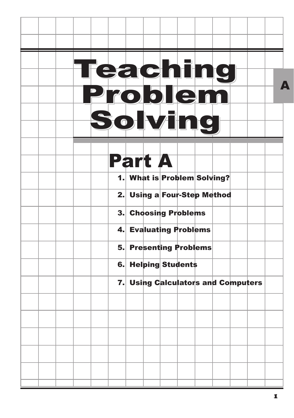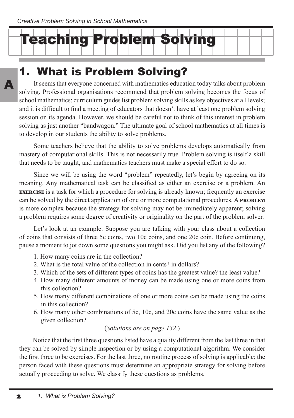$\boldsymbol{\Lambda}$ 



## 1. What is Problem Solving?

It seems that everyone concerned with mathematics education today talks about problem solving. Professional organisations recommend that problem solving becomes the focus of school mathematics; curriculum guides list problem solving skills as key objectives at all levels; and it is difficult to find a meeting of educators that doesn't have at least one problem solving session on its agenda. However, we should be careful not to think of this interest in problem solving as just another "bandwagon." The ultimate goal of school mathematics at all times is to develop in our students the ability to solve problems.

Some teachers believe that the ability to solve problems develops automatically from mastery of computational skills. This is not necessarily true. Problem solving is itself a skill that needs to be taught, and mathematics teachers must make a special effort to do so.

Since we will be using the word "problem" repeatedly, let's begin by agreeing on its meaning. Any mathematical task can be classified as either an exercise or a problem. An **exercise** is a task for which a procedure for solving is already known; frequently an exercise can be solved by the direct application of one or more computational procedures. A **problem**  is more complex because the strategy for solving may not be immediately apparent; solving a problem requires some degree of creativity or originality on the part of the problem solver.

Let's look at an example: Suppose you are talking with your class about a collection of coins that consists of three 5c coins, two 10c coins, and one 20c coin. Before continuing, pause a moment to jot down some questions you might ask. Did you list any of the following?

- 1. How many coins are in the collection?
- 2. What is the total value of the collection in cents? in dollars?
- 3. Which of the sets of different types of coins has the greatest value? the least value?
- 4. How many different amounts of money can be made using one or more coins from this collection?
- 5. How many different combinations of one or more coins can be made using the coins in this collection?
- 6. How many other combinations of 5c, 10c, and 20c coins have the same value as the given collection?

#### (*Solutions are on page 132.*)

Notice that the first three questions listed have a quality different from the last three in that they can be solved by simple inspection or by using a computational algorithm. We consider the first three to be exercises. For the last three, no routine process of solving is applicable; the person faced with these questions must determine an appropriate strategy for solving before actually proceeding to solve. We classify these questions as problems.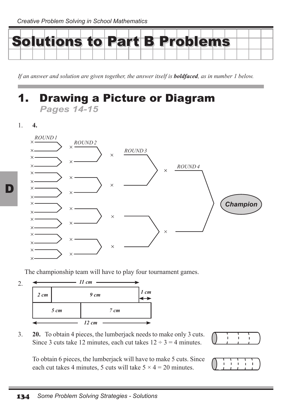

*If an answer and solution are given together, the answer itself is boldfaced, as in number 1 below.*

### **Drawing a Picture or Diagram** *Pages 14-15*

1. **4.**

D



The championship team will have to play four tournament games.



3. **20.** To obtain 4 pieces, the lumberjack needs to make only 3 cuts. Since 3 cuts take 12 minutes, each cut takes  $12 \div 3 = 4$  minutes.

To obtain 6 pieces, the lumberjack will have to make 5 cuts. Since each cut takes 4 minutes, 5 cuts will take  $5 \times 4 = 20$  minutes.



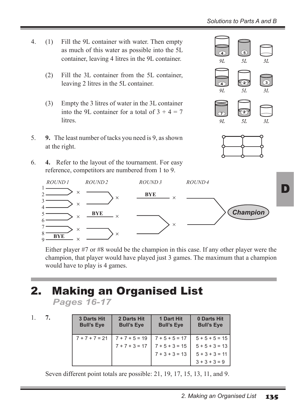- 4. (1) Fill the 9L container with water. Then empty as much of this water as possible into the 5L container, leaving 4 litres in the 9L container.
	- (2) Fill the 3L container from the 5L container, leaving 2 litres in the 5L container.
	- (3) Empty the 3 litres of water in the 3L container into the 9L container for a total of  $3 + 4 = 7$ litres.
- 5. **9.** The least number of tacks you need is 9, as shown at the right.
- 6. **4.** Refer to the layout of the tournament. For easy reference, competitors are numbered from 1 to 9.





QT



Either player #7 or #8 would be the champion in this case. If any other player were the champion, that player would have played just 3 games. The maximum that a champion would have to play is 4 games.

# 2. Making an Organised List

*Pages 16-17*

1. **7.**

| <b>3 Darts Hit</b><br><b>Bull's Eye</b> | 2 Darts Hit<br><b>Bull's Eye</b> | 1 Dart Hit<br><b>Bull's Eve</b> | 0 Darts Hit<br><b>Bull's Eve</b> |
|-----------------------------------------|----------------------------------|---------------------------------|----------------------------------|
| $7 + 7 + 7 = 21$                        | $7 + 7 + 5 = 19$                 | $7 + 5 + 5 = 17$                | $5 + 5 + 5 = 15$                 |
|                                         | $7 + 7 + 3 = 17$                 | $7 + 5 + 3 = 15$                | $5 + 5 + 3 = 13$                 |
|                                         |                                  | $7 + 3 + 3 = 13$                | $5 + 3 + 3 = 11$                 |
|                                         |                                  |                                 | $3 + 3 + 3 = 9$                  |

Seven different point totals are possible: 21, 19, 17, 15, 13, 11, and 9.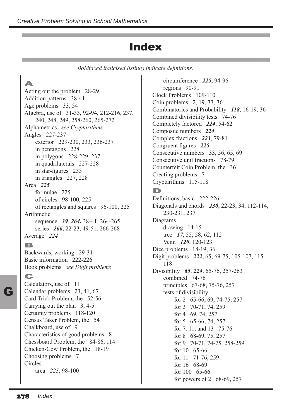### Index

*Boldfaced italicised listings indicate definitions.*

A Acting out the problem 28-29 Addition patterns 38-41 Age problems 33, 54 Algebra, use of 31-33, 92-94, 212-216, 237, 240, 248, 249, 258-260, 265-272 Alphametrics *see Cryptarithms* Angles 227-237 exterior 229-230, 233, 236-237 in pentagons 228 in polygons 228-229, 237 in quadrilaterals 227-228 in star-figures 233 in triangles 227, 228 Area *225* formulae 225 of circles 98-100, 225 of rectangles and squares 96-100, 225 Arithmetic sequence *39*, *264***,** 38-41, 264-265 series *266*, 22-23, 49-51, 266-268 Average *224* B Backwards, working 29-31 Basic information 222-226 Book problems *see Digit problems* C Calculators, use of 11 Calendar problems 23, 41, 67 Card Trick Problem, the 52-56 Carrying out the plan 3, 4-5 Certainty problems 118-120 Census Taker Problem, the 54 Chalkboard, use of 9 Characteristics of good problems 8 Chessboard Problem, the 84-86, 114 Chicken-Cow Problem, the 18-19 Choosing problems 7 Circles area *225*, 98-100

circumference *225*, 94-96 regions 90-91 Clock Problems 109-110 Coin problems 2, 19, 33, 36 Combinatorics and Probability *118*, 16-19, 36 Combined divisibility tests 74-76 Completely factored *224*, 54-62 Composite numbers *224* Complex fractions *223*, 79-81 Congruent figures *225* Consecutive numbers 33, 56, 65, 69 Consecutive unit fractions 78-79 Counterfeit Coin Problem, the 36 Creating problems 7 Cryptarithms 115-118 D Definitions, basic 222-226 Diagonals and chords *230*, 22-23, 34, 112-114, 230-231, 237 Diagrams drawing 14-15 tree *17*, 55, 58, 62, 112 Venn *120*, 120-123 Dice problems 18-19, 36 Digit problems *222*, 65, 69-75, 105-107, 115- 118 Divisibility *65*, *224*, 65-76, 257-263 combined 74-76 principles 67-68, 75-76, 257 tests of divisibility for 2 65-66, 69, 74-75, 257 for 3 70-71, 74, 259 for 4 69, 74, 257 for 5 65-66, 74, 257 for 7, 11, and 13 75-76 for 8 68-69, 75, 257 for 9 70-71, 74-75, 258-259 for 10 65-66 for 11 71-76, 259 for 16 68-69 for 100 65-66 for powers of 2 68-69, 257

G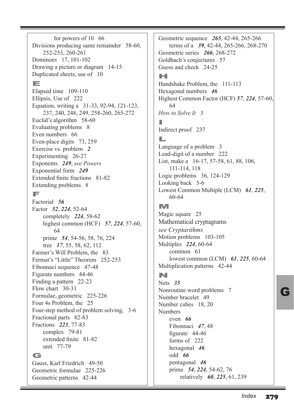for powers of 10 66 Divisions producing same remainder 58-60, 252-253, 260-261 Dominoes 17, 101-102 Drawing a picture or diagram 14-15 Duplicated sheets, use of 10 E Elapsed time 109-110 Ellipsis, Use of 222 Equation, writing a 31-33, 92-94, 121-123, 237, 240, 248, 249, 258-260, 265-272 Euclid's algorithm 58-60 Evaluating problems 8 Even numbers 66 Even-place digits 73, 259 Exercise vs. problem *2* Experimenting 26-27 Exponents *249*, *see Powers* Exponential form *249* Extended finite fractions 81-82 Extending problems 8 F Factorial *56* Factor *52*, *224*, 52-64 completely *224*, 58-62 highest common (HCF) *57*, *224*, 57-60, 64 prime *54*, 54-56, 58, 76, 224 tree *17*, 55, 58, 62, 112 Farmer's Will Problem, the 83 Fermat's "Little" Theorem 252-253 Fibonnaci sequence 47-48 Figurate numbers 44-46 Finding a pattern 22-23 Flow chart 30-31 Formulae, geometric 225-226 Four 4s Problem, the 25 Four-step method of problem solving, 3-6 Fractional parts 82-83 Fractions *223*, 77-83 complex 79-81 extended finite 81-82 unit 77-79 G Gauss, Karl Friedrich 49-50 Geometric formulae 225-226

Geometric patterns 42-44

Geometric sequence *265*, 42-44, 265-266 terms of a *39*, 42-44, 265-266, 268-270 Geometric series *266*, 268-272 Goldbach's conjectures 57 Guess and check 24-25

#### H

Handshake Problem, the 111-113 Hexagonal numbers *46* Highest Common Factor (HCF) *57*, *224*, 57-60, 64 *How to Solve It* 3 I Indirect proof 237 L Language of a problem 3 Lead-digit of a number 222

List, make a 16-17, 57-58, 61, 88, 106, 111-114, 118 Logic problems 36, 124-129 Looking back 5-6 Lowest Common Multiple (LCM) *61*, *225*, 60-64

### M

Magic square 25 Mathematical cryptagrams *see Cryptarithms* Motion problems 103-105 Multiples *224*, 60-64 common 61 lowest common (LCM) *61*, *225*, 60-64 Multiplication patterns 42-44

#### N

Nets *35* Nonroutine word problems 7 Number bracelet 49 Number cubes 18, 20 Numbers even *66* Fibonnaci *47*, 48 figurate 44-46 forms of 222 hexagonal *46* odd *66* pentagonal *46* prime *54*, *224*, 54-62, 76 relatively *60*, *225*, 61, 239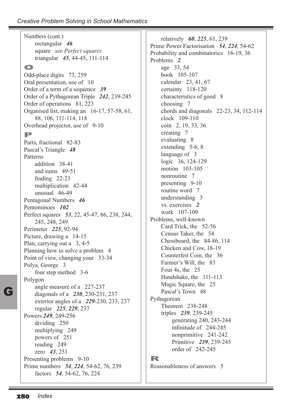| Numbers (cont.)                              | relatively $60, 225, 61, 239$              |  |  |
|----------------------------------------------|--------------------------------------------|--|--|
| rectangular 46                               | Prime Power Factorisation 54, 224, 54-62   |  |  |
| square see Perfect squares                   | Probability and combinatorics 16-19, 36    |  |  |
| triangular 45, 44-45, 111-114                | Problems <sub>2</sub>                      |  |  |
| $\bullet$                                    | age 33, 54                                 |  |  |
| Odd-place digits 73, 259                     | book 105-107                               |  |  |
| Oral presentation, use of 10                 | calendar 23, 41, 67                        |  |  |
| Order of a term of a sequence 39             | certainty 118-120                          |  |  |
| Order of a Pythagorean Triple 242, 239-245   | characteristics of good 8                  |  |  |
| Order of operations 81, 223                  | choosing 7                                 |  |  |
| Organised list, making an 16-17, 57-58, 61,  | chords and diagonals $22-23$ , 34, 112-114 |  |  |
| 88, 106, 111-114, 118                        | clock 109-110                              |  |  |
| Overhead projector, use of 9-10              | coin 2, 19, 33, 36                         |  |  |
| P                                            | creating 7                                 |  |  |
|                                              | evaluating 8                               |  |  |
| Parts, fractional 82-83                      | extending 5-6, 8                           |  |  |
| Pascal's Triangle 48                         | language of 3                              |  |  |
| Patterns                                     | logic 36, 124-129                          |  |  |
| addition 38-41                               | motion 103-105                             |  |  |
| and sums 49-51                               | nonroutine 7                               |  |  |
| finding $22-23$<br>multiplication 42-44      | presenting 9-10                            |  |  |
| unusual 46-49                                | routine word 7                             |  |  |
| Pentagonal Numbers 46                        | understanding 3                            |  |  |
| Pentominoes 102                              | vs. exercises 2                            |  |  |
| Perfect squares 53, 22, 45-47, 86, 238, 244, | work 107-109                               |  |  |
| 245, 248, 249                                | Problems, well-known                       |  |  |
| Perimeter 225, 92-94                         | Card Trick, the 52-56                      |  |  |
| Picture, drawing a 14-15                     | Census Taker, the 54                       |  |  |
| Plan, carrying out a 3, 4-5                  | Chessboard, the 84-86, 114                 |  |  |
| Planning how to solve a problem 4            | Chicken and Cow, 18-19                     |  |  |
| Point of view, changing your 33-34           | Counterfeit Coin, the 36                   |  |  |
| Polya, George 3                              | Farmer's Will, the 83                      |  |  |
| four step method 3-6                         | Four 4s, the 25                            |  |  |
| Polygon                                      | Handshake, the 111-113                     |  |  |
| angle measure of a 227-237                   | Magic Square, the 25                       |  |  |
| diagonals of a 230, 230-231, 237             | Pascal's Town 48                           |  |  |
| exterior angles of a 229-230, 233, 237       | Pythagorean                                |  |  |
| regular 225, 229, 237                        | Theorem 238-248                            |  |  |
| Powers 249, 249-256                          | triples 239, 239-245                       |  |  |
| dividing 250                                 | generating 240, 243-244                    |  |  |
| multiplying 249                              | infinitude of 244-245                      |  |  |
| powers of 251                                | nonprimitive 241-242                       |  |  |
| reading 249                                  | Primitive 239, 239-245                     |  |  |
| zero 43, 251                                 | order of 242-245                           |  |  |
| Presenting problems 9-10                     | R                                          |  |  |
| Prime numbers 54, 224, 54-62, 76, 239        | Reasonableness of answers 5                |  |  |
| factors 54, 54-62, 76, 224                   |                                            |  |  |
|                                              |                                            |  |  |

G